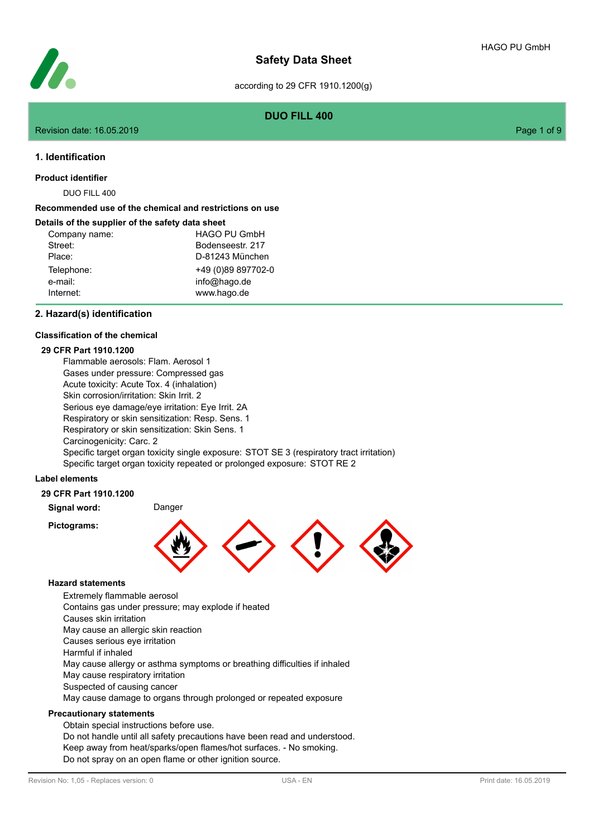

**DUO FILL 400**

#### Revision date: 16.05.2019 Page 1 of 9

## **1. Identification**

**Product identifier**

DUO FILL 400

## **Recommended use of the chemical and restrictions on use**

#### **Details of the supplier of the safety data sheet**

| Company name: | <b>HAGO PU GmbH</b> |
|---------------|---------------------|
| Street:       | Bodenseestr, 217    |
| Place:        | D-81243 München     |
| Telephone:    | +49 (0)89 897702-0  |
| e-mail:       | info@hago.de        |
| Internet:     | www.hago.de         |

#### **2. Hazard(s) identification**

#### **Classification of the chemical**

### **29 CFR Part 1910.1200**

Flammable aerosols: Flam. Aerosol 1 Gases under pressure: Compressed gas Acute toxicity: Acute Tox. 4 (inhalation) Skin corrosion/irritation: Skin Irrit. 2 Serious eye damage/eye irritation: Eye Irrit. 2A Respiratory or skin sensitization: Resp. Sens. 1 Respiratory or skin sensitization: Skin Sens. 1 Carcinogenicity: Carc. 2 Specific target organ toxicity single exposure: STOT SE 3 (respiratory tract irritation) Specific target organ toxicity repeated or prolonged exposure: STOT RE 2

### **Label elements**

### **29 CFR Part 1910.1200**

**Signal word:** Danger

**Pictograms:**



#### **Hazard statements**

Extremely flammable aerosol

Contains gas under pressure; may explode if heated

Causes skin irritation

May cause an allergic skin reaction

Causes serious eye irritation

Harmful if inhaled

May cause allergy or asthma symptoms or breathing difficulties if inhaled

May cause respiratory irritation

Suspected of causing cancer

May cause damage to organs through prolonged or repeated exposure

## **Precautionary statements**

Obtain special instructions before use.

Do not handle until all safety precautions have been read and understood. Keep away from heat/sparks/open flames/hot surfaces. - No smoking. Do not spray on an open flame or other ignition source.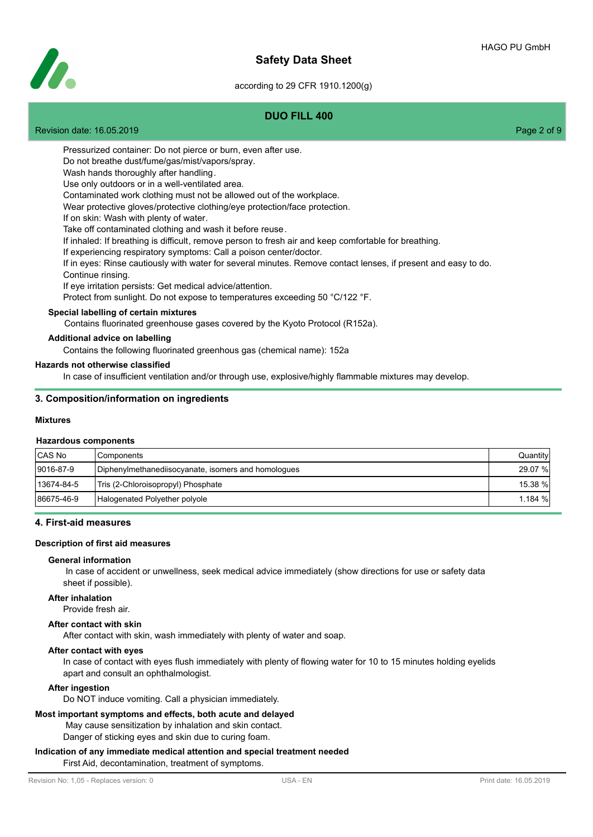# **Safety Data Sheet**



#### according to 29 CFR 1910.1200(g)

## **DUO FILL 400**

Revision date: 16.05.2019 Page 2 of 9

Pressurized container: Do not pierce or burn, even after use.

Do not breathe dust/fume/gas/mist/vapors/spray.

Wash hands thoroughly after handling.

Use only outdoors or in a well-ventilated area.

Contaminated work clothing must not be allowed out of the workplace.

Wear protective gloves/protective clothing/eye protection/face protection.

If on skin: Wash with plenty of water.

Take off contaminated clothing and wash it before reuse.

If inhaled: If breathing is difficult, remove person to fresh air and keep comfortable for breathing.

If experiencing respiratory symptoms: Call a poison center/doctor.

If in eyes: Rinse cautiously with water for several minutes. Remove contact lenses, if present and easy to do. Continue rinsing.

If eye irritation persists: Get medical advice/attention.

Protect from sunlight. Do not expose to temperatures exceeding 50 °C/122 °F.

## **Special labelling of certain mixtures**

Contains fluorinated greenhouse gases covered by the Kyoto Protocol (R152a).

#### **Additional advice on labelling**

Contains the following fluorinated greenhous gas (chemical name): 152a

#### **Hazards not otherwise classified**

In case of insufficient ventilation and/or through use, explosive/highly flammable mixtures may develop.

#### **3. Composition/information on ingredients**

#### **Mixtures**

#### **Hazardous components**

| CAS No     | l Components                                        | Quantity |
|------------|-----------------------------------------------------|----------|
| 9016-87-9  | Diphenylmethanediisocyanate, isomers and homologues | 29.07 %  |
| 13674-84-5 | Tris (2-Chloroisopropyl) Phosphate                  | 15.38 %  |
| 86675-46-9 | Halogenated Polyether polyole                       | 1.184%   |

#### **4. First-aid measures**

#### **Description of first aid measures**

#### **General information**

 In case of accident or unwellness, seek medical advice immediately (show directions for use or safety data sheet if possible).

#### **After inhalation**

Provide fresh air.

## **After contact with skin**

After contact with skin, wash immediately with plenty of water and soap.

#### **After contact with eyes**

In case of contact with eyes flush immediately with plenty of flowing water for 10 to 15 minutes holding eyelids apart and consult an ophthalmologist.

#### **After ingestion**

Do NOT induce vomiting. Call a physician immediately.

## **Most important symptoms and effects, both acute and delayed**

May cause sensitization by inhalation and skin contact.

Danger of sticking eyes and skin due to curing foam.

#### **Indication of any immediate medical attention and special treatment needed** First Aid, decontamination, treatment of symptoms.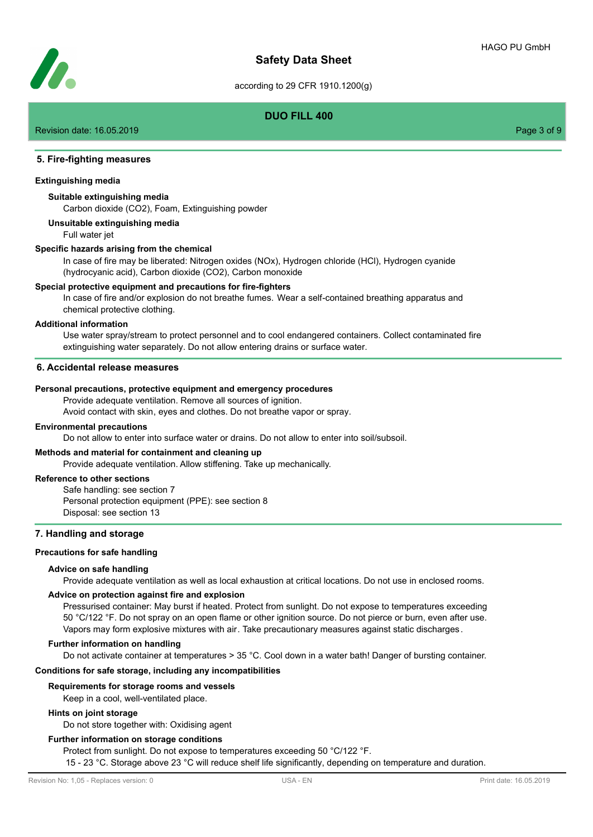

# **DUO FILL 400**

Revision date: 16.05.2019 **Page 3 of 9** and 2011 **Page 3 of 9** and 2012 **Page 3 of 9** and 2012 **Page 3 of 9** and 2012 **Page 3 of 9** 

## **5. Fire-fighting measures**

#### **Extinguishing media**

### **Suitable extinguishing media**

Carbon dioxide (CO2), Foam, Extinguishing powder

**Unsuitable extinguishing media**

Full water jet

#### **Specific hazards arising from the chemical**

In case of fire may be liberated: Nitrogen oxides (NOx), Hydrogen chloride (HCl), Hydrogen cyanide (hydrocyanic acid), Carbon dioxide (CO2), Carbon monoxide

#### **Special protective equipment and precautions for fire-fighters**

In case of fire and/or explosion do not breathe fumes. Wear a self-contained breathing apparatus and chemical protective clothing.

#### **Additional information**

Use water spray/stream to protect personnel and to cool endangered containers. Collect contaminated fire extinguishing water separately. Do not allow entering drains or surface water.

#### **6. Accidental release measures**

#### **Personal precautions, protective equipment and emergency procedures**

Provide adequate ventilation. Remove all sources of ignition.

Avoid contact with skin, eyes and clothes. Do not breathe vapor or spray.

#### **Environmental precautions**

Do not allow to enter into surface water or drains. Do not allow to enter into soil/subsoil.

### **Methods and material for containment and cleaning up**

Provide adequate ventilation. Allow stiffening. Take up mechanically.

#### **Reference to other sections**

Safe handling: see section 7 Personal protection equipment (PPE): see section 8 Disposal: see section 13

#### **7. Handling and storage**

## **Precautions for safe handling**

#### **Advice on safe handling**

Provide adequate ventilation as well as local exhaustion at critical locations. Do not use in enclosed rooms.

## **Advice on protection against fire and explosion**

Pressurised container: May burst if heated. Protect from sunlight. Do not expose to temperatures exceeding 50 °C/122 °F. Do not spray on an open flame or other ignition source. Do not pierce or burn, even after use. Vapors may form explosive mixtures with air. Take precautionary measures against static discharges.

#### **Further information on handling**

Do not activate container at temperatures > 35 °C. Cool down in a water bath! Danger of bursting container.

## **Conditions for safe storage, including any incompatibilities**

#### **Requirements for storage rooms and vessels**

Keep in a cool, well-ventilated place.

### **Hints on joint storage**

Do not store together with: Oxidising agent

### **Further information on storage conditions**

Protect from sunlight. Do not expose to temperatures exceeding 50 °C/122 °F.

15 - 23 °C. Storage above 23 °C will reduce shelf life significantly, depending on temperature and duration.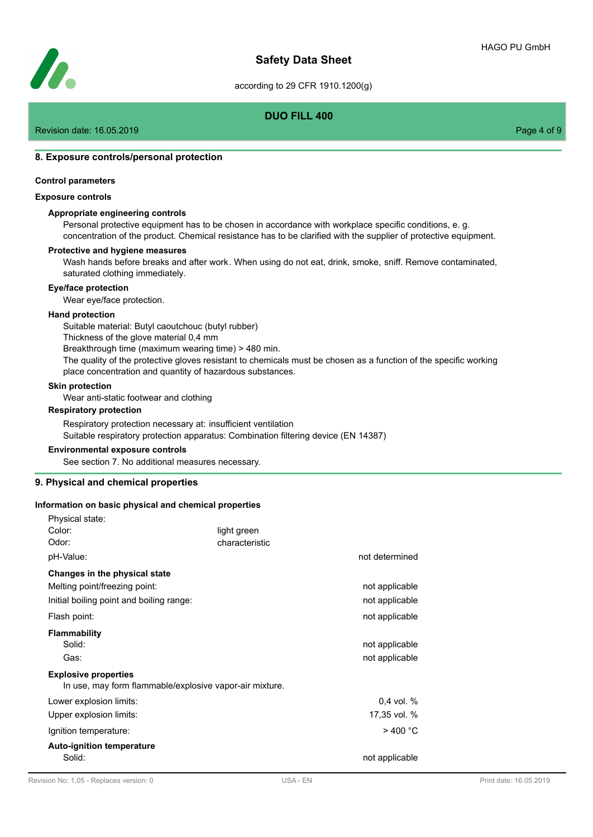

# **DUO FILL 400**

Revision date: 16.05.2019 **Page 4 of 9** and 2011 **Page 4 of 9** and 2012 **Page 4 of 9** and 2012 **Page 4 of 9** and 2012 **Page 4 of 9** 

## **8. Exposure controls/personal protection**

#### **Control parameters**

#### **Exposure controls**

### **Appropriate engineering controls**

Personal protective equipment has to be chosen in accordance with workplace specific conditions, e. g. concentration of the product. Chemical resistance has to be clarified with the supplier of protective equipment.

#### **Protective and hygiene measures**

Wash hands before breaks and after work. When using do not eat, drink, smoke, sniff. Remove contaminated, saturated clothing immediately.

#### **Eye/face protection**

Wear eye/face protection.

#### **Hand protection**

Suitable material: Butyl caoutchouc (butyl rubber) Thickness of the glove material 0,4 mm Breakthrough time (maximum wearing time) > 480 min. The quality of the protective gloves resistant to chemicals must be chosen as a function of the specific working place concentration and quantity of hazardous substances.

#### **Skin protection**

Physical state:

Wear anti-static footwear and clothing

#### **Respiratory protection**

Respiratory protection necessary at: insufficient ventilation Suitable respiratory protection apparatus: Combination filtering device (EN 14387)

#### **Environmental exposure controls**

See section 7. No additional measures necessary.

#### **9. Physical and chemical properties**

#### **Information on basic physical and chemical properties**

| ι πιγοιναι διαίσ.<br>Color:<br>Odor:<br>pH-Value:                                                                               | light green<br>characteristic | not determined                   |
|---------------------------------------------------------------------------------------------------------------------------------|-------------------------------|----------------------------------|
| Changes in the physical state<br>Melting point/freezing point:<br>Initial boiling point and boiling range:                      |                               | not applicable<br>not applicable |
| Flash point:                                                                                                                    |                               | not applicable                   |
| <b>Flammability</b><br>Solid:<br>Gas:<br><b>Explosive properties</b><br>In use, may form flammable/explosive vapor-air mixture. |                               | not applicable<br>not applicable |
| Lower explosion limits:<br>Upper explosion limits:                                                                              |                               | $0.4$ vol. $%$<br>17,35 vol. %   |
| Ignition temperature:                                                                                                           |                               | $>$ 400 °C                       |
| <b>Auto-ignition temperature</b><br>Solid:                                                                                      |                               | not applicable                   |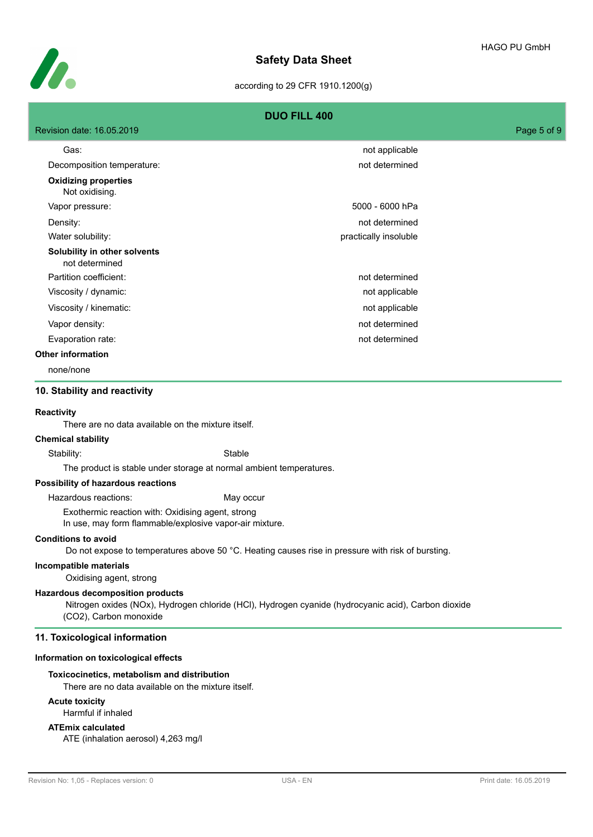

|                                                                                                              | <b>DUO FILL 400</b>                                                                                 |             |
|--------------------------------------------------------------------------------------------------------------|-----------------------------------------------------------------------------------------------------|-------------|
| Revision date: 16.05.2019                                                                                    |                                                                                                     | Page 5 of 9 |
| Gas:                                                                                                         | not applicable                                                                                      |             |
| Decomposition temperature:                                                                                   | not determined                                                                                      |             |
| <b>Oxidizing properties</b><br>Not oxidising.                                                                |                                                                                                     |             |
| Vapor pressure:                                                                                              | 5000 - 6000 hPa                                                                                     |             |
| Density:                                                                                                     | not determined                                                                                      |             |
| Water solubility:                                                                                            | practically insoluble                                                                               |             |
| Solubility in other solvents<br>not determined                                                               |                                                                                                     |             |
| Partition coefficient:                                                                                       | not determined                                                                                      |             |
| Viscosity / dynamic:                                                                                         | not applicable                                                                                      |             |
| Viscosity / kinematic:                                                                                       | not applicable                                                                                      |             |
| Vapor density:                                                                                               | not determined                                                                                      |             |
| Evaporation rate:                                                                                            | not determined                                                                                      |             |
| <b>Other information</b>                                                                                     |                                                                                                     |             |
| none/none                                                                                                    |                                                                                                     |             |
| 10. Stability and reactivity                                                                                 |                                                                                                     |             |
| Reactivity<br>There are no data available on the mixture itself.<br><b>Chemical stability</b>                |                                                                                                     |             |
| Stability:                                                                                                   | Stable                                                                                              |             |
|                                                                                                              | The product is stable under storage at normal ambient temperatures.                                 |             |
| Possibility of hazardous reactions                                                                           |                                                                                                     |             |
| Hazardous reactions:                                                                                         | May occur                                                                                           |             |
| Exothermic reaction with: Oxidising agent, strong<br>In use, may form flammable/explosive vapor-air mixture. |                                                                                                     |             |
| <b>Conditions to avoid</b>                                                                                   | Do not expose to temperatures above 50 °C. Heating causes rise in pressure with risk of bursting.   |             |
| Incompatible materials<br>Oxidising agent, strong                                                            |                                                                                                     |             |
| <b>Hazardous decomposition products</b><br>(CO2), Carbon monoxide                                            | Nitrogen oxides (NOx), Hydrogen chloride (HCI), Hydrogen cyanide (hydrocyanic acid), Carbon dioxide |             |
| 11. Toxicological information                                                                                |                                                                                                     |             |
| Information on toxicological effects                                                                         |                                                                                                     |             |
| Toxicocinetics, metabolism and distribution<br>There are no data available on the mixture itself.            |                                                                                                     |             |
| <b>Acute toxicity</b><br>Harmful if inhaled                                                                  |                                                                                                     |             |
| <b>ATEmix calculated</b><br>ATE (inhalation aerosol) 4,263 mg/l                                              |                                                                                                     |             |
|                                                                                                              |                                                                                                     |             |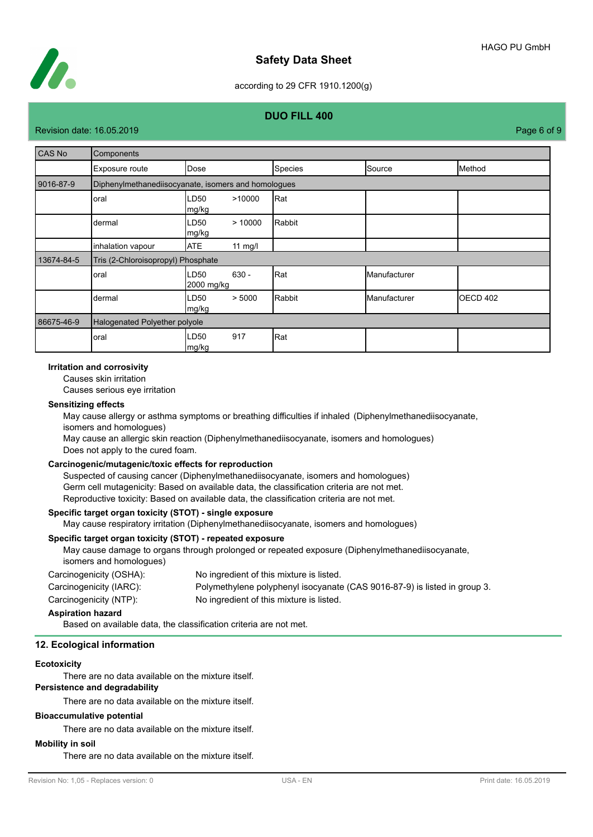

# **Safety Data Sheet**

## according to 29 CFR 1910.1200(g)

## **DUO FILL 400**

Revision date: 16.05.2019 **Page 6 of 9** and 2011 **Page 12.05.2019** Page 6 of 9

| CAS No     | Components                                          |                                     |         |              |          |
|------------|-----------------------------------------------------|-------------------------------------|---------|--------------|----------|
|            | Exposure route                                      | Dose                                | Species | Source       | Method   |
| 9016-87-9  | Diphenylmethanediisocyanate, isomers and homologues |                                     |         |              |          |
|            | oral                                                | LD50<br>>10000<br>mg/kg             | Rat     |              |          |
|            | dermal                                              | LD <sub>50</sub><br>>10000<br>mg/kg | Rabbit  |              |          |
|            | inhalation vapour                                   | <b>ATE</b><br>11 $mg/l$             |         |              |          |
| 13674-84-5 | Tris (2-Chloroisopropyl) Phosphate                  |                                     |         |              |          |
|            | oral                                                | LD50<br>$630 -$<br>2000 mg/kg       | Rat     | Manufacturer |          |
|            | dermal                                              | > 5000<br>LD50<br>mg/kg             | Rabbit  | Manufacturer | OECD 402 |
| 86675-46-9 | Halogenated Polyether polyole                       |                                     |         |              |          |
|            | oral                                                | 917<br>LD50<br>mg/kg                | Rat     |              |          |

#### **Irritation and corrosivity**

Causes skin irritation

Causes serious eye irritation

#### **Sensitizing effects**

May cause allergy or asthma symptoms or breathing difficulties if inhaled (Diphenylmethanediisocyanate, isomers and homologues) May cause an allergic skin reaction (Diphenylmethanediisocyanate, isomers and homologues)

Does not apply to the cured foam.

## **Carcinogenic/mutagenic/toxic effects for reproduction**

Suspected of causing cancer (Diphenylmethanediisocyanate, isomers and homologues) Germ cell mutagenicity: Based on available data, the classification criteria are not met. Reproductive toxicity: Based on available data, the classification criteria are not met.

## **Specific target organ toxicity (STOT) - single exposure**

May cause respiratory irritation (Diphenylmethanediisocyanate, isomers and homologues)

## **Specific target organ toxicity (STOT) - repeated exposure**

May cause damage to organs through prolonged or repeated exposure (Diphenylmethanediisocyanate, isomers and homologues) Carcinogenicity (OSHA): No ingredient of this mixture is listed. Carcinogenicity (IARC): Polymethylene polyphenyl isocyanate (CAS 9016-87-9) is listed in group 3.

Carcinogenicity (NTP): No ingredient of this mixture is listed.

#### **Aspiration hazard**

Based on available data, the classification criteria are not met.

## **12. Ecological information**

#### **Ecotoxicity**

There are no data available on the mixture itself.

# **Persistence and degradability**

There are no data available on the mixture itself.

#### **Bioaccumulative potential**

There are no data available on the mixture itself.

## **Mobility in soil**

There are no data available on the mixture itself.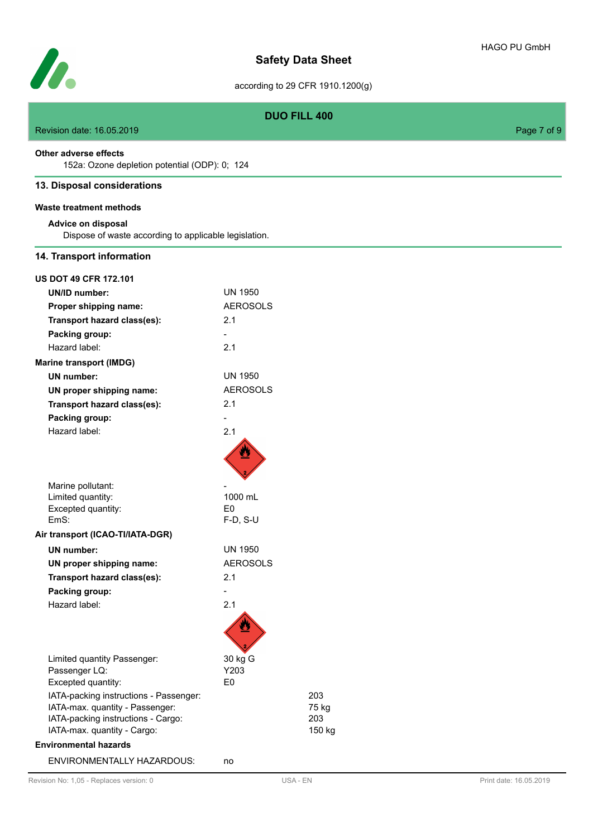**Safety Data Sheet**

# **DUO FILL 400**

Revision date: 16.05.2019 **Page 7 of 9** 

## **Other adverse effects**

Ź

152a: Ozone depletion potential (ODP): 0; 124

# **13. Disposal considerations**

**Waste treatment methods**

## **Advice on disposal**

Dispose of waste according to applicable legislation.

## **14. Transport information**

| 203    |
|--------|
| 75 kg  |
| 203    |
| 150 kg |
|        |
|        |
|        |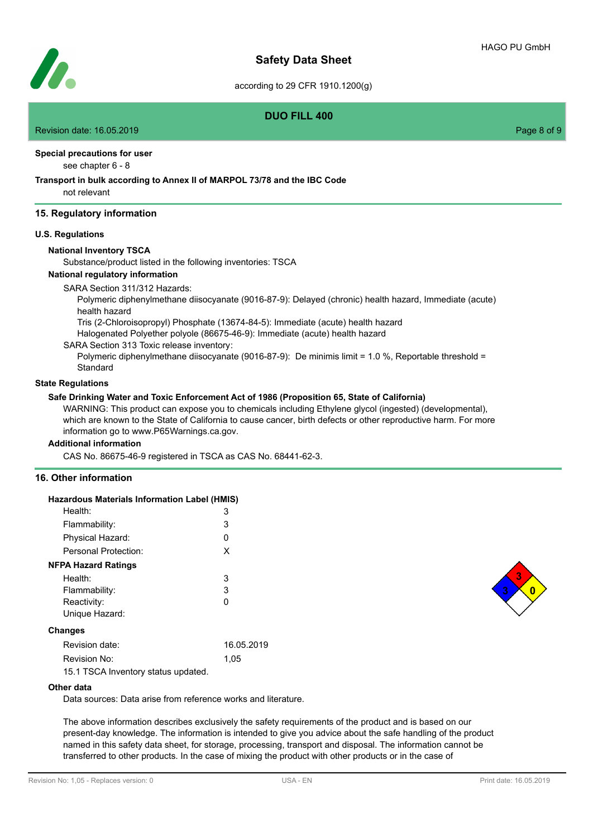

# **DUO FILL 400**

Revision date: 16.05.2019 Page 8 of 9

#### **Special precautions for user**

see chapter 6 - 8

## **Transport in bulk according to Annex II of MARPOL 73/78 and the IBC Code**

not relevant

## **15. Regulatory information**

#### **U.S. Regulations**

#### **National Inventory TSCA**

Substance/product listed in the following inventories: TSCA

# **National regulatory information**

SARA Section 311/312 Hazards:

Polymeric diphenylmethane diisocyanate (9016-87-9): Delayed (chronic) health hazard, Immediate (acute) health hazard

Tris (2-Chloroisopropyl) Phosphate (13674-84-5): Immediate (acute) health hazard

Halogenated Polyether polyole (86675-46-9): Immediate (acute) health hazard

SARA Section 313 Toxic release inventory:

Polymeric diphenylmethane diisocyanate (9016-87-9): De minimis limit = 1.0 %, Reportable threshold = Standard

## **State Regulations**

## **Safe Drinking Water and Toxic Enforcement Act of 1986 (Proposition 65, State of California)**

WARNING: This product can expose you to chemicals including Ethylene glycol (ingested) (developmental), which are known to the State of California to cause cancer, birth defects or other reproductive harm. For more information go to www.P65Warnings.ca.gov.

#### **Additional information**

CAS No. 86675-46-9 registered in TSCA as CAS No. 68441-62-3.

## **16. Other information**

| Hazardous Materials Information Label (HMIS)                                                                                                                                                                                                                                                                                                                                                                 |            |
|--------------------------------------------------------------------------------------------------------------------------------------------------------------------------------------------------------------------------------------------------------------------------------------------------------------------------------------------------------------------------------------------------------------|------------|
| Health:                                                                                                                                                                                                                                                                                                                                                                                                      | 3          |
| Flammability:                                                                                                                                                                                                                                                                                                                                                                                                | 3          |
| Physical Hazard:                                                                                                                                                                                                                                                                                                                                                                                             | Ω          |
| Personal Protection:                                                                                                                                                                                                                                                                                                                                                                                         | X          |
| <b>NFPA Hazard Ratings</b>                                                                                                                                                                                                                                                                                                                                                                                   |            |
| Health:                                                                                                                                                                                                                                                                                                                                                                                                      | 3          |
| Flammability:                                                                                                                                                                                                                                                                                                                                                                                                | 3          |
| Reactivity:                                                                                                                                                                                                                                                                                                                                                                                                  | 0          |
| Unique Hazard:                                                                                                                                                                                                                                                                                                                                                                                               |            |
| Changes                                                                                                                                                                                                                                                                                                                                                                                                      |            |
| Revision date:                                                                                                                                                                                                                                                                                                                                                                                               | 16.05.2019 |
| Revision No:                                                                                                                                                                                                                                                                                                                                                                                                 | 1.05       |
| $\overline{AB}$ $\overline{AB}$ $\overline{AB}$ $\overline{BA}$ $\overline{BA}$ $\overline{BA}$ $\overline{BA}$ $\overline{BA}$ $\overline{BA}$ $\overline{BA}$ $\overline{BA}$ $\overline{BA}$ $\overline{BA}$ $\overline{BA}$ $\overline{BA}$ $\overline{BA}$ $\overline{BA}$ $\overline{BA}$ $\overline{BA}$ $\overline{BA}$ $\overline{BA}$ $\overline{BA}$ $\overline{BA}$ $\overline{BA}$ $\overline{$ |            |

15.1 TSCA Inventory status updated.

#### **Other data**

Data sources: Data arise from reference works and literature.

The above information describes exclusively the safety requirements of the product and is based on our present-day knowledge. The information is intended to give you advice about the safe handling of the product named in this safety data sheet, for storage, processing, transport and disposal. The information cannot be transferred to other products. In the case of mixing the product with other products or in the case of